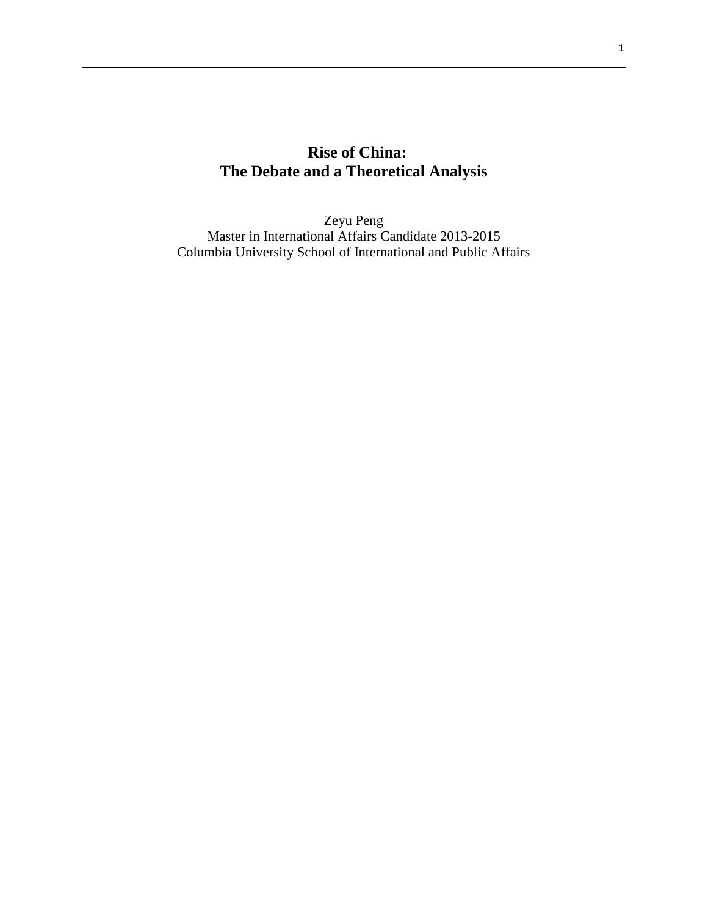# **Rise of China: The Debate and a Theoretical Analysis**

Zeyu Peng Master in International Affairs Candidate 2013-2015 Columbia University School of International and Public Affairs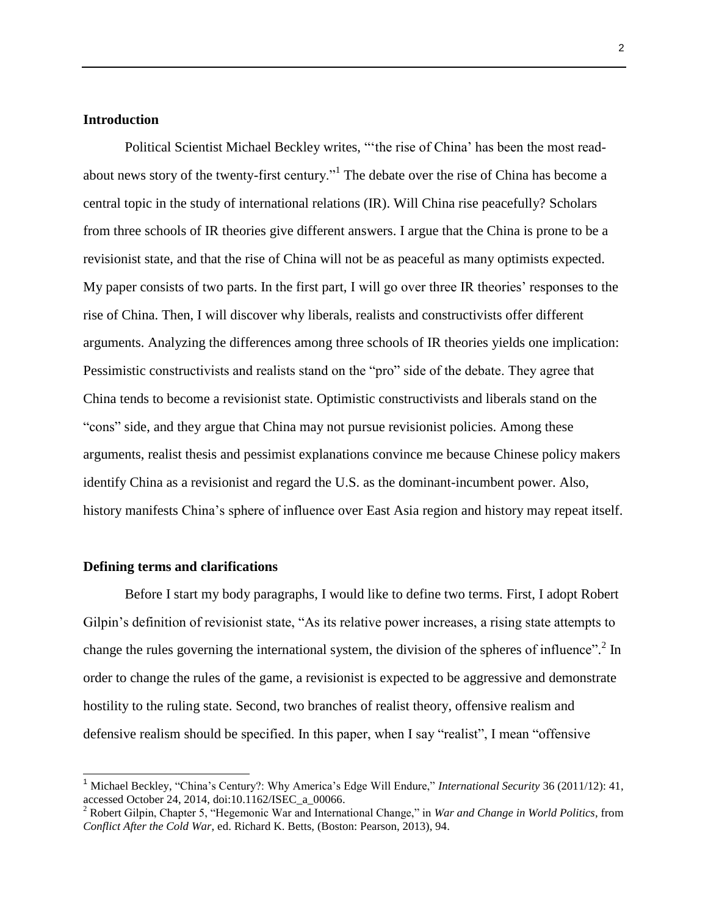#### **Introduction**

Political Scientist Michael Beckley writes, "'the rise of China' has been the most readabout news story of the twenty-first century."<sup>1</sup> The debate over the rise of China has become a central topic in the study of international relations (IR). Will China rise peacefully? Scholars from three schools of IR theories give different answers. I argue that the China is prone to be a revisionist state, and that the rise of China will not be as peaceful as many optimists expected. My paper consists of two parts. In the first part, I will go over three IR theories' responses to the rise of China. Then, I will discover why liberals, realists and constructivists offer different arguments. Analyzing the differences among three schools of IR theories yields one implication: Pessimistic constructivists and realists stand on the "pro" side of the debate. They agree that China tends to become a revisionist state. Optimistic constructivists and liberals stand on the "cons" side, and they argue that China may not pursue revisionist policies. Among these arguments, realist thesis and pessimist explanations convince me because Chinese policy makers identify China as a revisionist and regard the U.S. as the dominant-incumbent power. Also, history manifests China's sphere of influence over East Asia region and history may repeat itself.

#### **Defining terms and clarifications**

j

Before I start my body paragraphs, I would like to define two terms. First, I adopt Robert Gilpin's definition of revisionist state, "As its relative power increases, a rising state attempts to change the rules governing the international system, the division of the spheres of influence".<sup>2</sup> In order to change the rules of the game, a revisionist is expected to be aggressive and demonstrate hostility to the ruling state. Second, two branches of realist theory, offensive realism and defensive realism should be specified. In this paper, when I say "realist", I mean "offensive

<sup>1</sup> Michael Beckley, "China's Century?: Why America's Edge Will Endure," *International Security* 36 (2011/12): 41, accessed October 24, 2014, doi:10.1162/ISEC\_a\_00066.

<sup>2</sup> Robert Gilpin, Chapter 5, "Hegemonic War and International Change," in *War and Change in World Politics*, from *Conflict After the Cold War*, ed. Richard K. Betts, (Boston: Pearson, 2013), 94.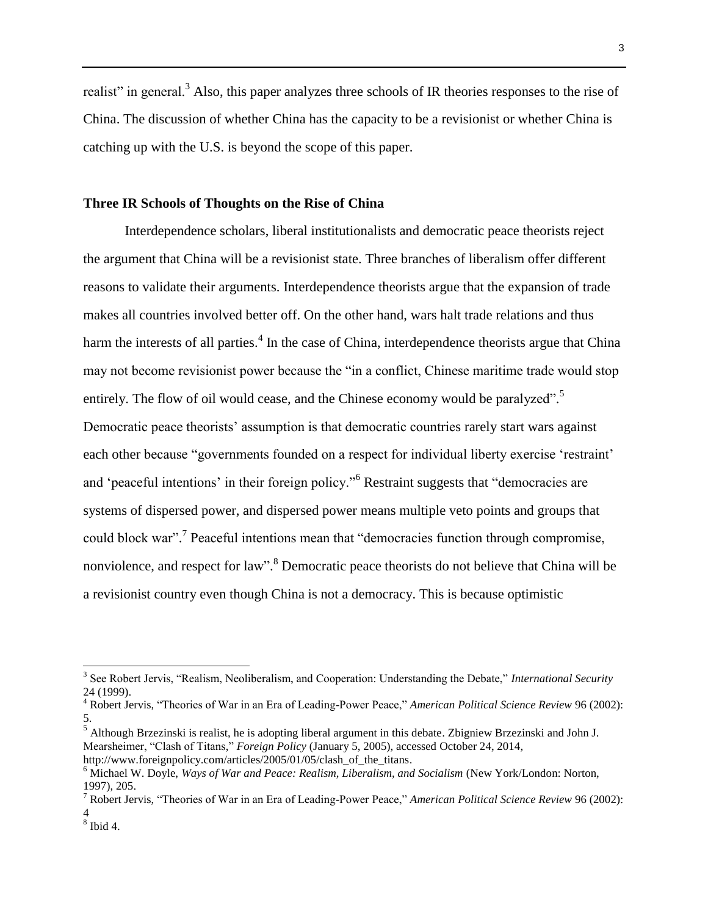realist" in general.<sup>3</sup> Also, this paper analyzes three schools of IR theories responses to the rise of China. The discussion of whether China has the capacity to be a revisionist or whether China is catching up with the U.S. is beyond the scope of this paper.

#### **Three IR Schools of Thoughts on the Rise of China**

Interdependence scholars, liberal institutionalists and democratic peace theorists reject the argument that China will be a revisionist state. Three branches of liberalism offer different reasons to validate their arguments. Interdependence theorists argue that the expansion of trade makes all countries involved better off. On the other hand, wars halt trade relations and thus harm the interests of all parties.<sup>4</sup> In the case of China, interdependence theorists argue that China may not become revisionist power because the "in a conflict, Chinese maritime trade would stop entirely. The flow of oil would cease, and the Chinese economy would be paralyzed".<sup>5</sup> Democratic peace theorists' assumption is that democratic countries rarely start wars against each other because "governments founded on a respect for individual liberty exercise 'restraint' and 'peaceful intentions' in their foreign policy."<sup>6</sup> Restraint suggests that "democracies are systems of dispersed power, and dispersed power means multiple veto points and groups that could block war".<sup>7</sup> Peaceful intentions mean that "democracies function through compromise, nonviolence, and respect for law".<sup>8</sup> Democratic peace theorists do not believe that China will be a revisionist country even though China is not a democracy. This is because optimistic

 $\overline{a}$ 

<sup>3</sup> See Robert Jervis, "Realism, Neoliberalism, and Cooperation: Understanding the Debate," *International Security* 24 (1999).

<sup>4</sup> Robert Jervis, "Theories of War in an Era of Leading-Power Peace," *American Political Science Review* 96 (2002): 5.

 $<sup>5</sup>$  Although Brzezinski is realist, he is adopting liberal argument in this debate. Zbigniew Brzezinski and John J.</sup> Mearsheimer, "Clash of Titans," *Foreign Policy* (January 5, 2005), accessed October 24, 2014,

http://www.foreignpolicy.com/articles/2005/01/05/clash\_of\_the\_titans.

<sup>6</sup> Michael W. Doyle, *Ways of War and Peace: Realism, Liberalism, and Socialism* (New York/London: Norton, 1997), 205.

<sup>7</sup> Robert Jervis, "Theories of War in an Era of Leading-Power Peace," *American Political Science Review* 96 (2002): 4

 $<sup>8</sup>$  Ibid 4.</sup>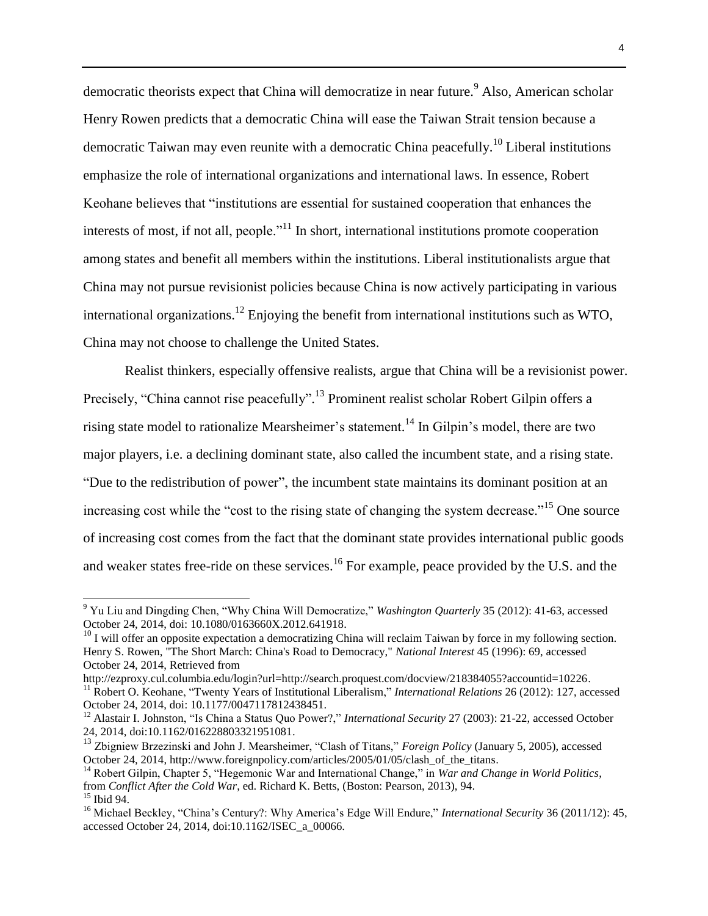democratic theorists expect that China will democratize in near future.<sup>9</sup> Also, American scholar Henry Rowen predicts that a democratic China will ease the Taiwan Strait tension because a democratic Taiwan may even reunite with a democratic China peacefully.<sup>10</sup> Liberal institutions emphasize the role of international organizations and international laws. In essence, Robert Keohane believes that "institutions are essential for sustained cooperation that enhances the interests of most, if not all, people. $n<sup>11</sup>$  In short, international institutions promote cooperation among states and benefit all members within the institutions. Liberal institutionalists argue that China may not pursue revisionist policies because China is now actively participating in various international organizations.<sup>12</sup> Enjoying the benefit from international institutions such as WTO, China may not choose to challenge the United States.

Realist thinkers, especially offensive realists, argue that China will be a revisionist power. Precisely, "China cannot rise peacefully".<sup>13</sup> Prominent realist scholar Robert Gilpin offers a rising state model to rationalize Mearsheimer's statement.<sup>14</sup> In Gilpin's model, there are two major players, i.e. a declining dominant state, also called the incumbent state, and a rising state. "Due to the redistribution of power", the incumbent state maintains its dominant position at an increasing cost while the "cost to the rising state of changing the system decrease."<sup>15</sup> One source of increasing cost comes from the fact that the dominant state provides international public goods and weaker states free-ride on these services.<sup>16</sup> For example, peace provided by the U.S. and the

<sup>9</sup> Yu Liu and Dingding Chen, "Why China Will Democratize," *Washington Quarterly* 35 (2012): 41-63, accessed October 24, 2014, doi: 10.1080/0163660X.2012.641918.

 $^{10}$  I will offer an opposite expectation a democratizing China will reclaim Taiwan by force in my following section. Henry S. Rowen, "The Short March: China's Road to Democracy," *National Interest* 45 (1996): 69, accessed October 24, 2014, Retrieved from

http://ezproxy.cul.columbia.edu/login?url=http://search.proquest.com/docview/218384055?accountid=10226. <sup>11</sup> Robert O. Keohane, "Twenty Years of Institutional Liberalism," *International Relations* 26 (2012): 127, accessed October 24, 2014, doi: 10.1177/0047117812438451.

<sup>&</sup>lt;sup>12</sup> Alastair I. Johnston, "Is China a Status Quo Power?," *International Security* 27 (2003): 21-22, accessed October 24, 2014, doi:10.1162/016228803321951081.

<sup>&</sup>lt;sup>13</sup> Zbigniew Brzezinski and John J. Mearsheimer, "Clash of Titans," *Foreign Policy* (January 5, 2005), accessed October 24, 2014, http://www.foreignpolicy.com/articles/2005/01/05/clash\_of\_the\_titans.

<sup>&</sup>lt;sup>14</sup> Robert Gilpin, Chapter 5, "Hegemonic War and International Change," in *War and Change in World Politics*, from *Conflict After the Cold War*, ed. Richard K. Betts, (Boston: Pearson, 2013), 94.  $15$  Ibid 94.

<sup>&</sup>lt;sup>16</sup> Michael Beckley, "China's Century?: Why America's Edge Will Endure," *International Security* 36 (2011/12): 45, accessed October 24, 2014, doi:10.1162/ISEC\_a\_00066.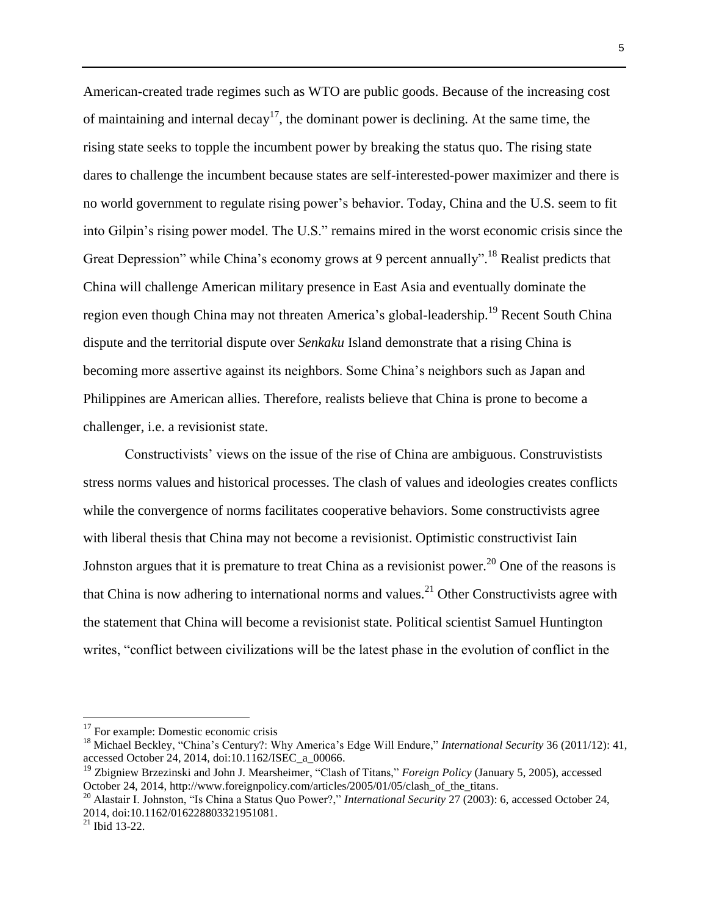American-created trade regimes such as WTO are public goods. Because of the increasing cost of maintaining and internal decay<sup>17</sup>, the dominant power is declining. At the same time, the rising state seeks to topple the incumbent power by breaking the status quo. The rising state dares to challenge the incumbent because states are self-interested-power maximizer and there is no world government to regulate rising power's behavior. Today, China and the U.S. seem to fit into Gilpin's rising power model. The U.S." remains mired in the worst economic crisis since the Great Depression" while China's economy grows at 9 percent annually".<sup>18</sup> Realist predicts that China will challenge American military presence in East Asia and eventually dominate the region even though China may not threaten America's global-leadership.<sup>19</sup> Recent South China dispute and the territorial dispute over *Senkaku* Island demonstrate that a rising China is becoming more assertive against its neighbors. Some China's neighbors such as Japan and Philippines are American allies. Therefore, realists believe that China is prone to become a challenger, i.e. a revisionist state.

Constructivists' views on the issue of the rise of China are ambiguous. Construvistists stress norms values and historical processes. The clash of values and ideologies creates conflicts while the convergence of norms facilitates cooperative behaviors. Some constructivists agree with liberal thesis that China may not become a revisionist. Optimistic constructivist Iain Johnston argues that it is premature to treat China as a revisionist power.<sup>20</sup> One of the reasons is that China is now adhering to international norms and values.<sup>21</sup> Other Constructivists agree with the statement that China will become a revisionist state. Political scientist Samuel Huntington writes, "conflict between civilizations will be the latest phase in the evolution of conflict in the

<sup>&</sup>lt;sup>17</sup> For example: Domestic economic crisis

<sup>&</sup>lt;sup>18</sup> Michael Beckley, "China's Century?: Why America's Edge Will Endure," *International Security* 36 (2011/12): 41, accessed October 24, 2014, doi:10.1162/ISEC\_a\_00066.

<sup>&</sup>lt;sup>19</sup> Zbigniew Brzezinski and John J. Mearsheimer, "Clash of Titans," *Foreign Policy* (January 5, 2005), accessed October 24, 2014, http://www.foreignpolicy.com/articles/2005/01/05/clash\_of\_the\_titans.

<sup>20</sup> Alastair I. Johnston, "Is China a Status Quo Power?," *International Security* 27 (2003): 6, accessed October 24, 2014, doi:10.1162/016228803321951081.

 $^{21}$  Ibid 13-22.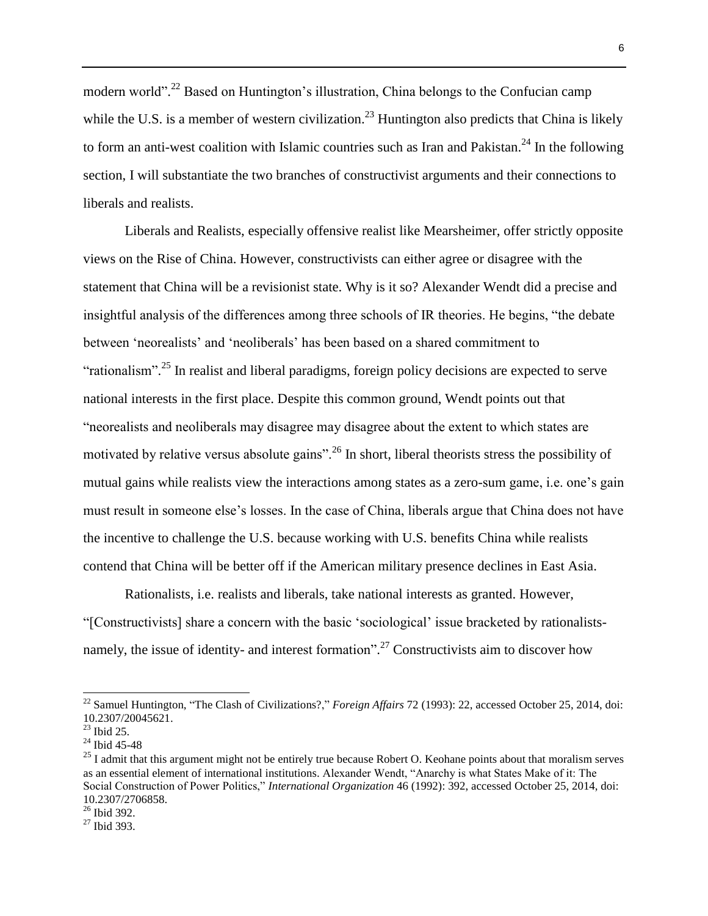modern world".<sup>22</sup> Based on Huntington's illustration, China belongs to the Confucian camp while the U.S. is a member of western civilization.<sup>23</sup> Huntington also predicts that China is likely to form an anti-west coalition with Islamic countries such as Iran and Pakistan.<sup>24</sup> In the following section, I will substantiate the two branches of constructivist arguments and their connections to liberals and realists.

Liberals and Realists, especially offensive realist like Mearsheimer, offer strictly opposite views on the Rise of China. However, constructivists can either agree or disagree with the statement that China will be a revisionist state. Why is it so? Alexander Wendt did a precise and insightful analysis of the differences among three schools of IR theories. He begins, "the debate between 'neorealists' and 'neoliberals' has been based on a shared commitment to "rationalism".<sup>25</sup> In realist and liberal paradigms, foreign policy decisions are expected to serve national interests in the first place. Despite this common ground, Wendt points out that "neorealists and neoliberals may disagree may disagree about the extent to which states are motivated by relative versus absolute gains".<sup>26</sup> In short, liberal theorists stress the possibility of mutual gains while realists view the interactions among states as a zero-sum game, i.e. one's gain must result in someone else's losses. In the case of China, liberals argue that China does not have the incentive to challenge the U.S. because working with U.S. benefits China while realists contend that China will be better off if the American military presence declines in East Asia.

Rationalists, i.e. realists and liberals, take national interests as granted. However, "[Constructivists] share a concern with the basic 'sociological' issue bracketed by rationalistsnamely, the issue of identity- and interest formation".<sup>27</sup> Constructivists aim to discover how

<sup>22</sup> Samuel Huntington, "The Clash of Civilizations?," *Foreign Affairs* 72 (1993): 22, accessed October 25, 2014, doi: 10.2307/20045621.

 $23$  Ibid 25.

 $24$  Ibid 45-48

 $25$  I admit that this argument might not be entirely true because Robert O. Keohane points about that moralism serves as an essential element of international institutions. Alexander Wendt, "Anarchy is what States Make of it: The Social Construction of Power Politics," *International Organization* 46 (1992): 392, accessed October 25, 2014, doi: 10.2307/2706858.

 $26$  Ibid 392.

 $27$  Ibid 393.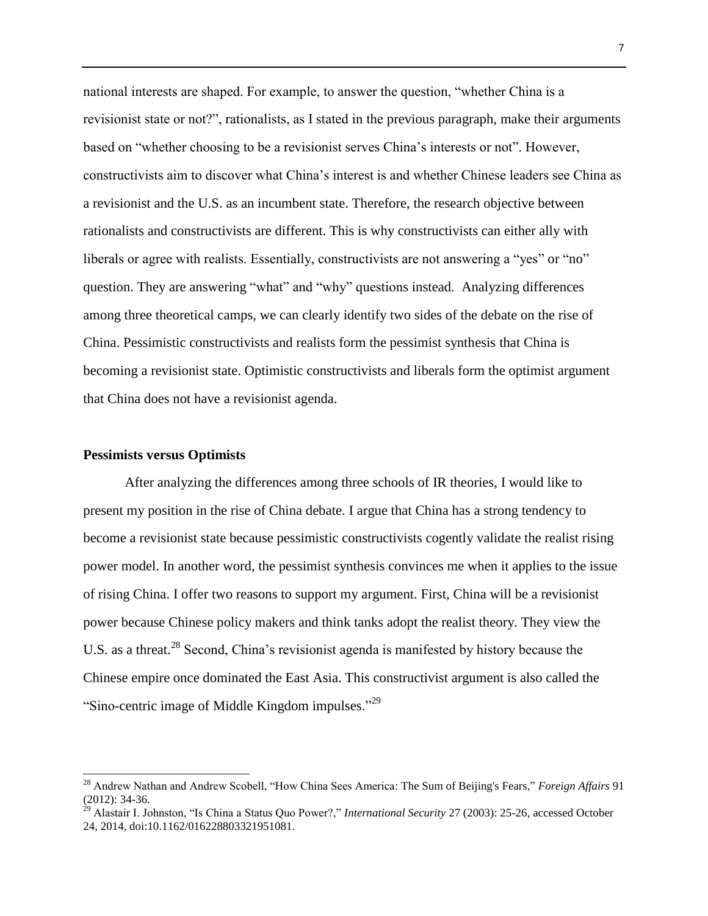national interests are shaped. For example, to answer the question, "whether China is a revisionist state or not?", rationalists, as I stated in the previous paragraph, make their arguments based on "whether choosing to be a revisionist serves China's interests or not". However, constructivists aim to discover what China's interest is and whether Chinese leaders see China as a revisionist and the U.S. as an incumbent state. Therefore, the research objective between rationalists and constructivists are different. This is why constructivists can either ally with liberals or agree with realists. Essentially, constructivists are not answering a "yes" or "no" question. They are answering "what" and "why" questions instead. Analyzing differences among three theoretical camps, we can clearly identify two sides of the debate on the rise of China. Pessimistic constructivists and realists form the pessimist synthesis that China is becoming a revisionist state. Optimistic constructivists and liberals form the optimist argument that China does not have a revisionist agenda.

#### **Pessimists versus Optimists**

After analyzing the differences among three schools of IR theories, I would like to present my position in the rise of China debate. I argue that China has a strong tendency to become a revisionist state because pessimistic constructivists cogently validate the realist rising power model. In another word, the pessimist synthesis convinces me when it applies to the issue of rising China. I offer two reasons to support my argument. First, China will be a revisionist power because Chinese policy makers and think tanks adopt the realist theory. They view the U.S. as a threat.<sup>28</sup> Second, China's revisionist agenda is manifested by history because the Chinese empire once dominated the East Asia. This constructivist argument is also called the "Sino-centric image of Middle Kingdom impulses."<sup>29</sup>

<sup>28</sup> Andrew Nathan and Andrew Scobell, "How China Sees America: The Sum of Beijing's Fears," *Foreign Affairs* 91 (2012): 34-36.

<sup>29</sup> Alastair I. Johnston, "Is China a Status Quo Power?," *International Security* 27 (2003): 25-26, accessed October 24, 2014, doi:10.1162/016228803321951081.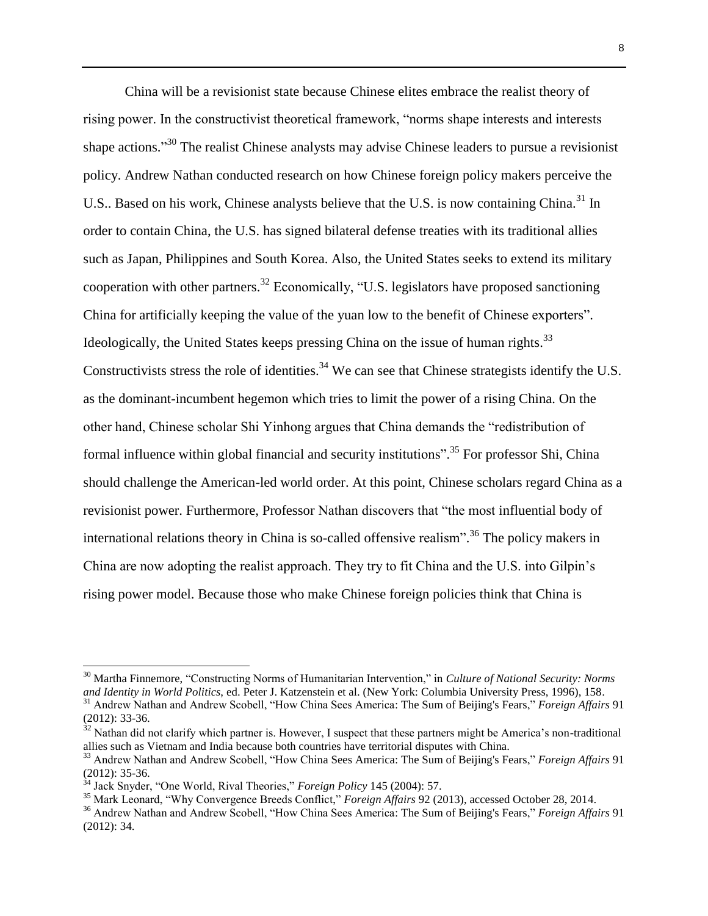China will be a revisionist state because Chinese elites embrace the realist theory of rising power. In the constructivist theoretical framework, "norms shape interests and interests shape actions."<sup>30</sup> The realist Chinese analysts may advise Chinese leaders to pursue a revisionist policy. Andrew Nathan conducted research on how Chinese foreign policy makers perceive the U.S.. Based on his work, Chinese analysts believe that the U.S. is now containing China.<sup>31</sup> In order to contain China, the U.S. has signed bilateral defense treaties with its traditional allies such as Japan, Philippines and South Korea. Also, the United States seeks to extend its military cooperation with other partners.<sup>32</sup> Economically, "U.S. legislators have proposed sanctioning China for artificially keeping the value of the yuan low to the benefit of Chinese exporters". Ideologically, the United States keeps pressing China on the issue of human rights.<sup>33</sup> Constructivists stress the role of identities.<sup>34</sup> We can see that Chinese strategists identify the U.S. as the dominant-incumbent hegemon which tries to limit the power of a rising China. On the other hand, Chinese scholar Shi Yinhong argues that China demands the "redistribution of formal influence within global financial and security institutions".<sup>35</sup> For professor Shi, China should challenge the American-led world order. At this point, Chinese scholars regard China as a revisionist power. Furthermore, Professor Nathan discovers that "the most influential body of international relations theory in China is so-called offensive realism". <sup>36</sup> The policy makers in China are now adopting the realist approach. They try to fit China and the U.S. into Gilpin's rising power model. Because those who make Chinese foreign policies think that China is

 $\overline{a}$ 

<sup>30</sup> Martha Finnemore, "Constructing Norms of Humanitarian Intervention," in *Culture of National Security: Norms and Identity in World Politics*, ed. Peter J. Katzenstein et al. (New York: Columbia University Press, 1996), 158. <sup>31</sup> Andrew Nathan and Andrew Scobell, "How China Sees America: The Sum of Beijing's Fears," *Foreign Affairs* 91

<sup>(2012): 33-36.</sup>

 $32$  Nathan did not clarify which partner is. However, I suspect that these partners might be America's non-traditional allies such as Vietnam and India because both countries have territorial disputes with China.

<sup>33</sup> Andrew Nathan and Andrew Scobell, "How China Sees America: The Sum of Beijing's Fears," *Foreign Affairs* 91 (2012): 35-36.

<sup>34</sup> Jack Snyder, "One World, Rival Theories," *Foreign Policy* 145 (2004): 57.

<sup>35</sup> Mark Leonard, "Why Convergence Breeds Conflict," *Foreign Affairs* 92 (2013), accessed October 28, 2014.

<sup>36</sup> Andrew Nathan and Andrew Scobell, "How China Sees America: The Sum of Beijing's Fears," *Foreign Affairs* 91 (2012): 34.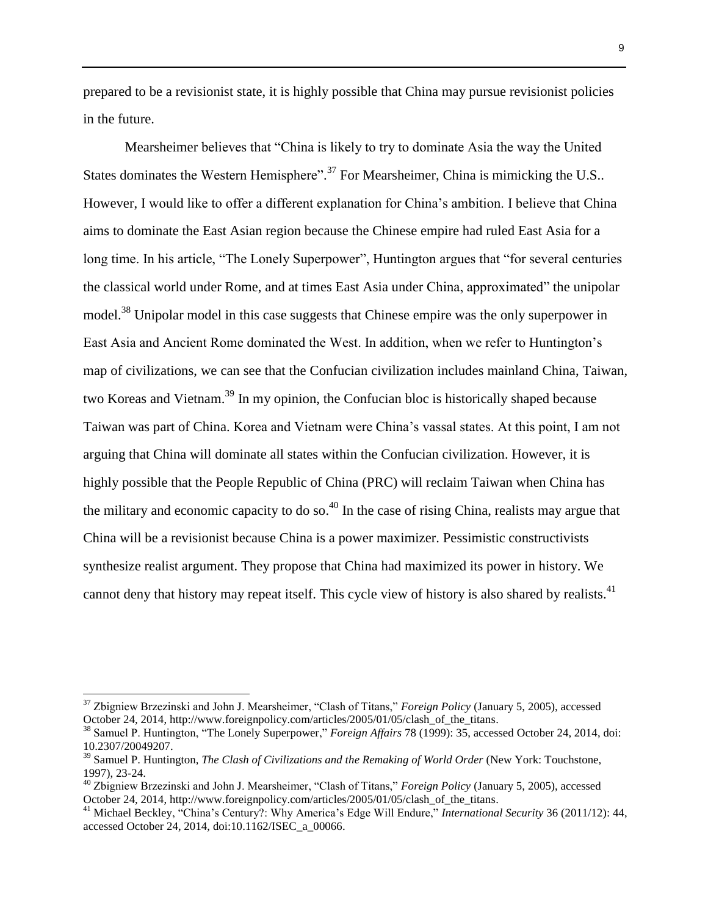prepared to be a revisionist state, it is highly possible that China may pursue revisionist policies in the future.

Mearsheimer believes that "China is likely to try to dominate Asia the way the United States dominates the Western Hemisphere".<sup>37</sup> For Mearsheimer, China is mimicking the U.S.. However, I would like to offer a different explanation for China's ambition. I believe that China aims to dominate the East Asian region because the Chinese empire had ruled East Asia for a long time. In his article, "The Lonely Superpower", Huntington argues that "for several centuries the classical world under Rome, and at times East Asia under China, approximated" the unipolar model.<sup>38</sup> Unipolar model in this case suggests that Chinese empire was the only superpower in East Asia and Ancient Rome dominated the West. In addition, when we refer to Huntington's map of civilizations, we can see that the Confucian civilization includes mainland China, Taiwan, two Koreas and Vietnam.<sup>39</sup> In my opinion, the Confucian bloc is historically shaped because Taiwan was part of China. Korea and Vietnam were China's vassal states. At this point, I am not arguing that China will dominate all states within the Confucian civilization. However, it is highly possible that the People Republic of China (PRC) will reclaim Taiwan when China has the military and economic capacity to do so.<sup>40</sup> In the case of rising China, realists may argue that China will be a revisionist because China is a power maximizer. Pessimistic constructivists synthesize realist argument. They propose that China had maximized its power in history. We cannot deny that history may repeat itself. This cycle view of history is also shared by realists.<sup>41</sup>

<sup>37</sup> Zbigniew Brzezinski and John J. Mearsheimer, "Clash of Titans," *Foreign Policy* (January 5, 2005), accessed October 24, 2014, http://www.foreignpolicy.com/articles/2005/01/05/clash\_of\_the\_titans.

<sup>&</sup>lt;sup>38</sup> Samuel P. Huntington, "The Lonely Superpower," *Foreign Affairs* 78 (1999): 35, accessed October 24, 2014, doi: 10.2307/20049207.

<sup>39</sup> Samuel P. Huntington, *The Clash of Civilizations and the Remaking of World Order* (New York: Touchstone, 1997), 23-24.

<sup>40</sup> Zbigniew Brzezinski and John J. Mearsheimer, "Clash of Titans," *Foreign Policy* (January 5, 2005), accessed October 24, 2014, http://www.foreignpolicy.com/articles/2005/01/05/clash\_of\_the\_titans.

<sup>41</sup> Michael Beckley, "China's Century?: Why America's Edge Will Endure," *International Security* 36 (2011/12): 44, accessed October 24, 2014, doi:10.1162/ISEC\_a\_00066.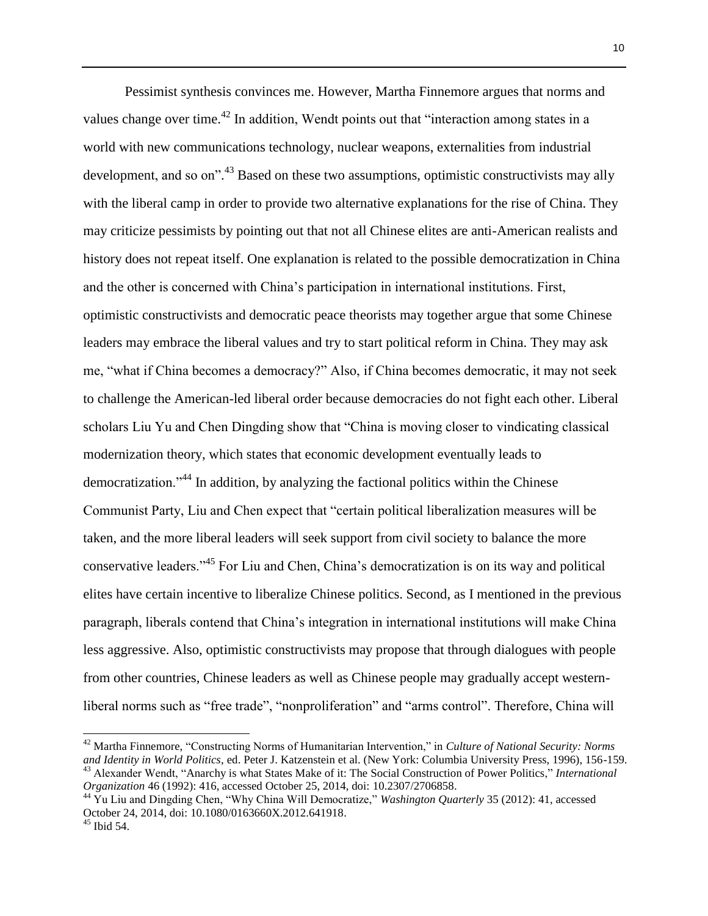Pessimist synthesis convinces me. However, Martha Finnemore argues that norms and values change over time.<sup>42</sup> In addition, Wendt points out that "interaction among states in a world with new communications technology, nuclear weapons, externalities from industrial development, and so on".<sup>43</sup> Based on these two assumptions, optimistic constructivists may ally with the liberal camp in order to provide two alternative explanations for the rise of China. They may criticize pessimists by pointing out that not all Chinese elites are anti-American realists and history does not repeat itself. One explanation is related to the possible democratization in China and the other is concerned with China's participation in international institutions. First, optimistic constructivists and democratic peace theorists may together argue that some Chinese leaders may embrace the liberal values and try to start political reform in China. They may ask me, "what if China becomes a democracy?" Also, if China becomes democratic, it may not seek to challenge the American-led liberal order because democracies do not fight each other. Liberal scholars Liu Yu and Chen Dingding show that "China is moving closer to vindicating classical modernization theory, which states that economic development eventually leads to democratization."<sup>44</sup> In addition, by analyzing the factional politics within the Chinese Communist Party, Liu and Chen expect that "certain political liberalization measures will be taken, and the more liberal leaders will seek support from civil society to balance the more conservative leaders."<sup>45</sup> For Liu and Chen, China's democratization is on its way and political elites have certain incentive to liberalize Chinese politics. Second, as I mentioned in the previous paragraph, liberals contend that China's integration in international institutions will make China less aggressive. Also, optimistic constructivists may propose that through dialogues with people from other countries, Chinese leaders as well as Chinese people may gradually accept westernliberal norms such as "free trade", "nonproliferation" and "arms control". Therefore, China will

<sup>42</sup> Martha Finnemore, "Constructing Norms of Humanitarian Intervention," in *Culture of National Security: Norms and Identity in World Politics*, ed. Peter J. Katzenstein et al. (New York: Columbia University Press, 1996), 156-159. <sup>43</sup> Alexander Wendt, "Anarchy is what States Make of it: The Social Construction of Power Politics," *International* 

*Organization* 46 (1992): 416, accessed October 25, 2014, doi: 10.2307/2706858.

<sup>44</sup> Yu Liu and Dingding Chen, "Why China Will Democratize," *Washington Quarterly* 35 (2012): 41, accessed October 24, 2014, doi: 10.1080/0163660X.2012.641918.

<sup>45</sup> Ibid 54.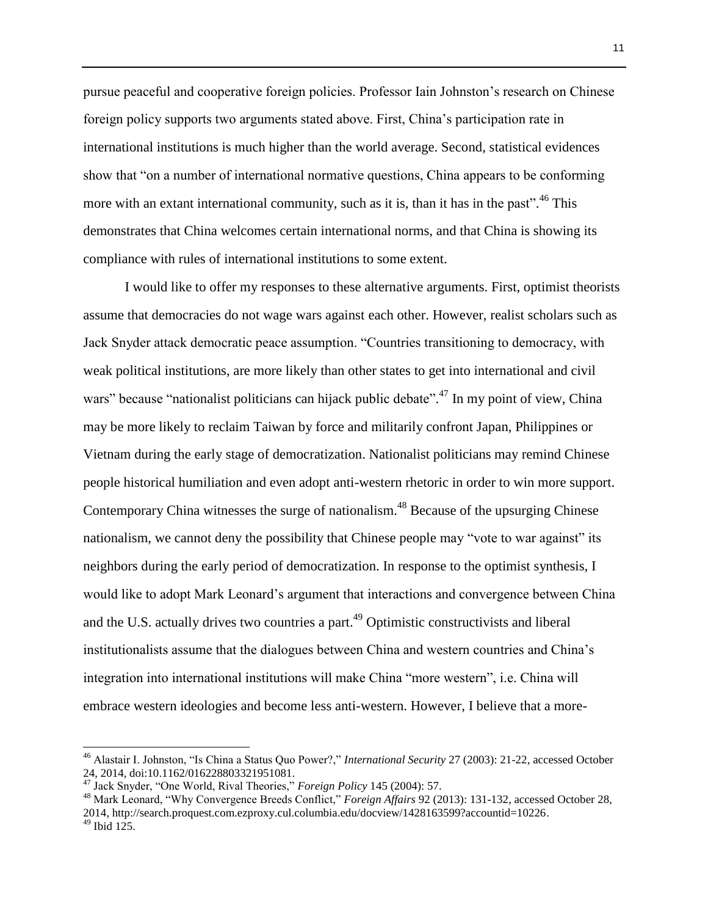pursue peaceful and cooperative foreign policies. Professor Iain Johnston's research on Chinese foreign policy supports two arguments stated above. First, China's participation rate in international institutions is much higher than the world average. Second, statistical evidences show that "on a number of international normative questions, China appears to be conforming more with an extant international community, such as it is, than it has in the past".<sup>46</sup> This demonstrates that China welcomes certain international norms, and that China is showing its compliance with rules of international institutions to some extent.

I would like to offer my responses to these alternative arguments. First, optimist theorists assume that democracies do not wage wars against each other. However, realist scholars such as Jack Snyder attack democratic peace assumption. "Countries transitioning to democracy, with weak political institutions, are more likely than other states to get into international and civil wars" because "nationalist politicians can hijack public debate".<sup>47</sup> In my point of view, China may be more likely to reclaim Taiwan by force and militarily confront Japan, Philippines or Vietnam during the early stage of democratization. Nationalist politicians may remind Chinese people historical humiliation and even adopt anti-western rhetoric in order to win more support. Contemporary China witnesses the surge of nationalism.<sup>48</sup> Because of the upsurging Chinese nationalism, we cannot deny the possibility that Chinese people may "vote to war against" its neighbors during the early period of democratization. In response to the optimist synthesis, I would like to adopt Mark Leonard's argument that interactions and convergence between China and the U.S. actually drives two countries a part.<sup>49</sup> Optimistic constructivists and liberal institutionalists assume that the dialogues between China and western countries and China's integration into international institutions will make China "more western", i.e. China will embrace western ideologies and become less anti-western. However, I believe that a more-

 $\overline{a}$ 

<sup>46</sup> Alastair I. Johnston, "Is China a Status Quo Power?," *International Security* 27 (2003): 21-22, accessed October 24, 2014, doi:10.1162/016228803321951081.

<sup>47</sup> Jack Snyder, "One World, Rival Theories," *Foreign Policy* 145 (2004): 57.

<sup>48</sup> Mark Leonard, "Why Convergence Breeds Conflict," *Foreign Affairs* 92 (2013): 131-132, accessed October 28, 2014, http://search.proquest.com.ezproxy.cul.columbia.edu/docview/1428163599?accountid=10226.  $49$  Ibid 125.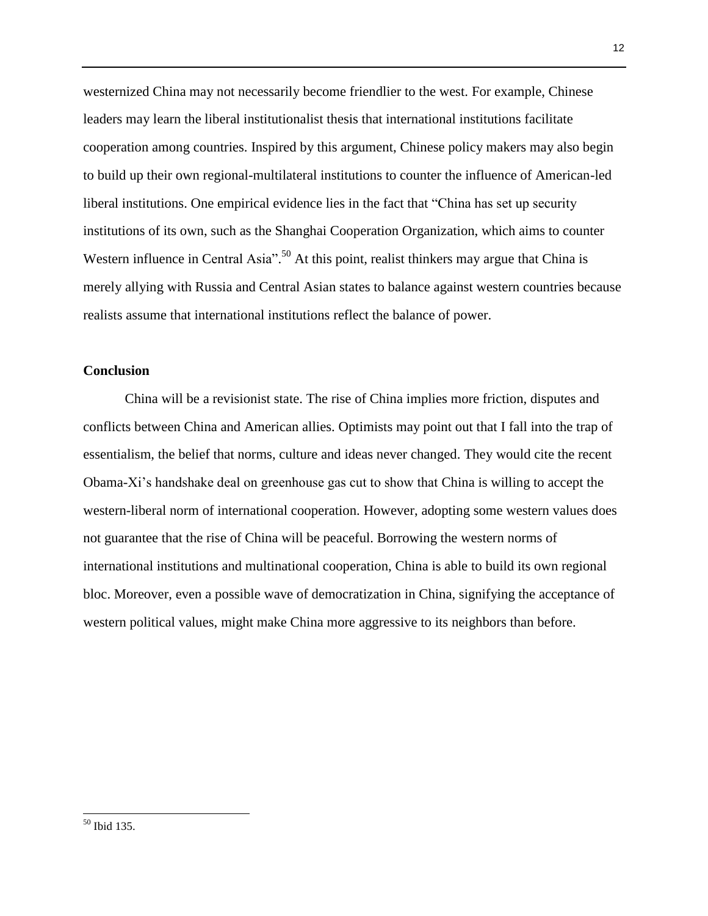westernized China may not necessarily become friendlier to the west. For example, Chinese leaders may learn the liberal institutionalist thesis that international institutions facilitate cooperation among countries. Inspired by this argument, Chinese policy makers may also begin to build up their own regional-multilateral institutions to counter the influence of American-led liberal institutions. One empirical evidence lies in the fact that "China has set up security institutions of its own, such as the Shanghai Cooperation Organization, which aims to counter Western influence in Central Asia".<sup>50</sup> At this point, realist thinkers may argue that China is merely allying with Russia and Central Asian states to balance against western countries because realists assume that international institutions reflect the balance of power.

## **Conclusion**

China will be a revisionist state. The rise of China implies more friction, disputes and conflicts between China and American allies. Optimists may point out that I fall into the trap of essentialism, the belief that norms, culture and ideas never changed. They would cite the recent Obama-Xi's handshake deal on greenhouse gas cut to show that China is willing to accept the western-liberal norm of international cooperation. However, adopting some western values does not guarantee that the rise of China will be peaceful. Borrowing the western norms of international institutions and multinational cooperation, China is able to build its own regional bloc. Moreover, even a possible wave of democratization in China, signifying the acceptance of western political values, might make China more aggressive to its neighbors than before.

<sup>50</sup> Ibid 135.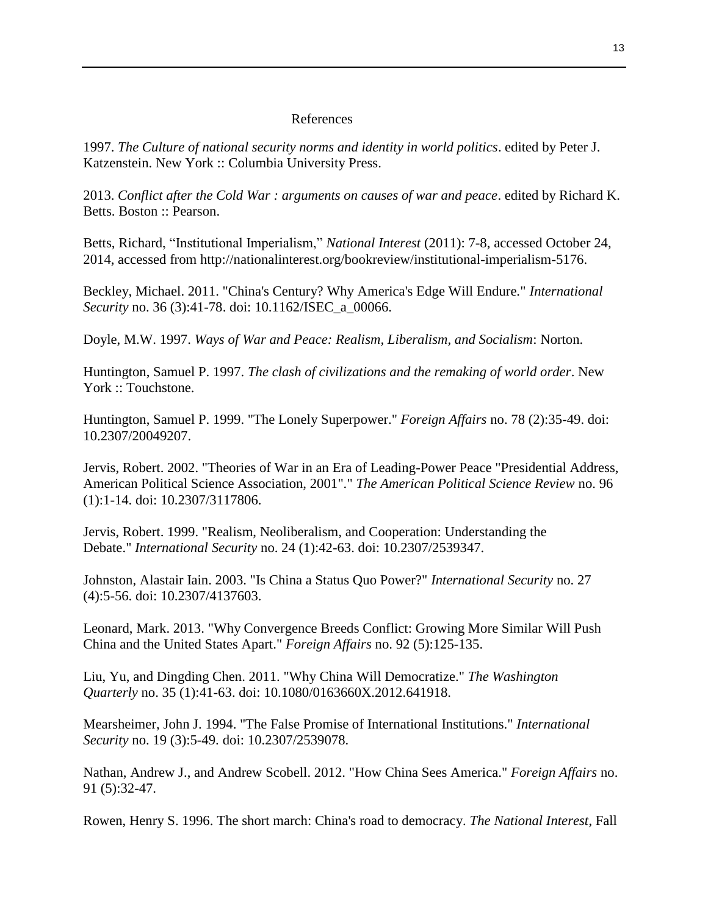### References

1997. *The Culture of national security norms and identity in world politics*. edited by Peter J. Katzenstein. New York :: Columbia University Press.

2013. *Conflict after the Cold War : arguments on causes of war and peace*. edited by Richard K. Betts. Boston :: Pearson.

Betts, Richard, "Institutional Imperialism," *National Interest* (2011): 7-8, accessed October 24, 2014, accessed from http://nationalinterest.org/bookreview/institutional-imperialism-5176.

Beckley, Michael. 2011. "China's Century? Why America's Edge Will Endure." *International Security* no. 36 (3):41-78. doi: 10.1162/ISEC\_a\_00066.

Doyle, M.W. 1997. *Ways of War and Peace: Realism, Liberalism, and Socialism*: Norton.

Huntington, Samuel P. 1997. *The clash of civilizations and the remaking of world order*. New York :: Touchstone.

Huntington, Samuel P. 1999. "The Lonely Superpower." *Foreign Affairs* no. 78 (2):35-49. doi: 10.2307/20049207.

Jervis, Robert. 2002. "Theories of War in an Era of Leading-Power Peace "Presidential Address, American Political Science Association, 2001"." *The American Political Science Review* no. 96 (1):1-14. doi: 10.2307/3117806.

Jervis, Robert. 1999. "Realism, Neoliberalism, and Cooperation: Understanding the Debate." *International Security* no. 24 (1):42-63. doi: 10.2307/2539347.

Johnston, Alastair Iain. 2003. "Is China a Status Quo Power?" *International Security* no. 27 (4):5-56. doi: 10.2307/4137603.

Leonard, Mark. 2013. "Why Convergence Breeds Conflict: Growing More Similar Will Push China and the United States Apart." *Foreign Affairs* no. 92 (5):125-135.

Liu, Yu, and Dingding Chen. 2011. "Why China Will Democratize." *The Washington Quarterly* no. 35 (1):41-63. doi: 10.1080/0163660X.2012.641918.

Mearsheimer, John J. 1994. "The False Promise of International Institutions." *International Security* no. 19 (3):5-49. doi: 10.2307/2539078.

Nathan, Andrew J., and Andrew Scobell. 2012. "How China Sees America." *Foreign Affairs* no. 91 (5):32-47.

Rowen, Henry S. 1996. The short march: China's road to democracy. *The National Interest*, Fall